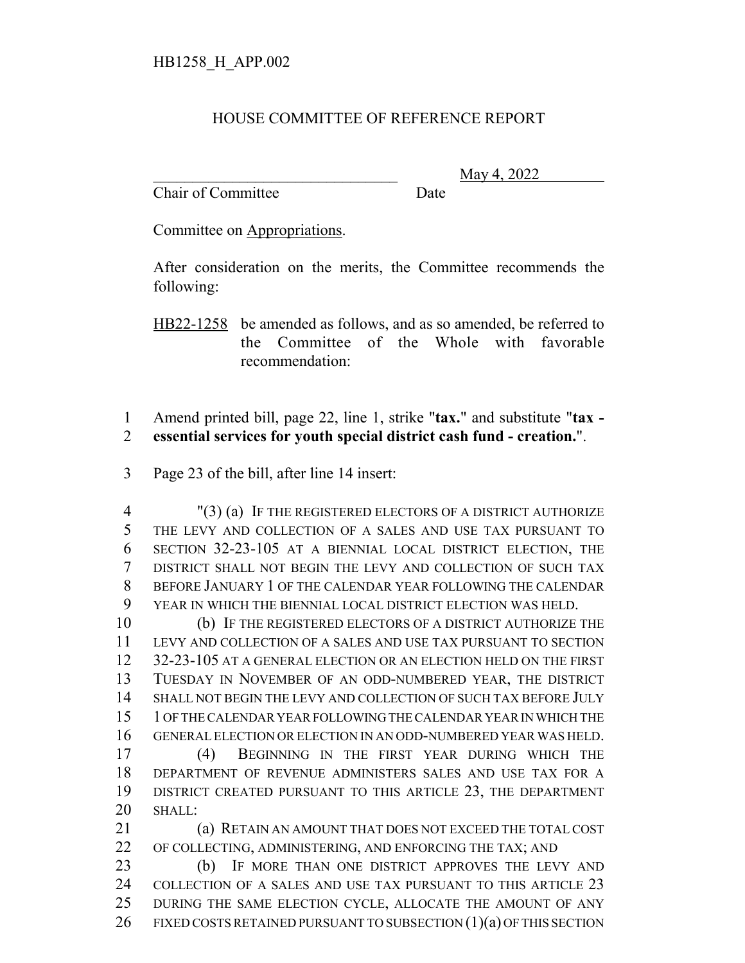## HOUSE COMMITTEE OF REFERENCE REPORT

Chair of Committee Date

\_\_\_\_\_\_\_\_\_\_\_\_\_\_\_\_\_\_\_\_\_\_\_\_\_\_\_\_\_\_\_ May 4, 2022

Committee on Appropriations.

After consideration on the merits, the Committee recommends the following:

HB22-1258 be amended as follows, and as so amended, be referred to the Committee of the Whole with favorable recommendation:

 Amend printed bill, page 22, line 1, strike "**tax.**" and substitute "**tax - essential services for youth special district cash fund - creation.**".

Page 23 of the bill, after line 14 insert:

 "(3) (a) IF THE REGISTERED ELECTORS OF A DISTRICT AUTHORIZE THE LEVY AND COLLECTION OF A SALES AND USE TAX PURSUANT TO SECTION 32-23-105 AT A BIENNIAL LOCAL DISTRICT ELECTION, THE DISTRICT SHALL NOT BEGIN THE LEVY AND COLLECTION OF SUCH TAX BEFORE JANUARY 1 OF THE CALENDAR YEAR FOLLOWING THE CALENDAR YEAR IN WHICH THE BIENNIAL LOCAL DISTRICT ELECTION WAS HELD.

 (b) IF THE REGISTERED ELECTORS OF A DISTRICT AUTHORIZE THE LEVY AND COLLECTION OF A SALES AND USE TAX PURSUANT TO SECTION 32-23-105 AT A GENERAL ELECTION OR AN ELECTION HELD ON THE FIRST TUESDAY IN NOVEMBER OF AN ODD-NUMBERED YEAR, THE DISTRICT SHALL NOT BEGIN THE LEVY AND COLLECTION OF SUCH TAX BEFORE JULY 1 OF THE CALENDAR YEAR FOLLOWING THE CALENDAR YEAR IN WHICH THE GENERAL ELECTION OR ELECTION IN AN ODD-NUMBERED YEAR WAS HELD. (4) BEGINNING IN THE FIRST YEAR DURING WHICH THE DEPARTMENT OF REVENUE ADMINISTERS SALES AND USE TAX FOR A DISTRICT CREATED PURSUANT TO THIS ARTICLE 23, THE DEPARTMENT SHALL:

 (a) RETAIN AN AMOUNT THAT DOES NOT EXCEED THE TOTAL COST OF COLLECTING, ADMINISTERING, AND ENFORCING THE TAX; AND

 (b) IF MORE THAN ONE DISTRICT APPROVES THE LEVY AND 24 COLLECTION OF A SALES AND USE TAX PURSUANT TO THIS ARTICLE 23 DURING THE SAME ELECTION CYCLE, ALLOCATE THE AMOUNT OF ANY 26 FIXED COSTS RETAINED PURSUANT TO SUBSECTION  $(1)(a)$  OF THIS SECTION